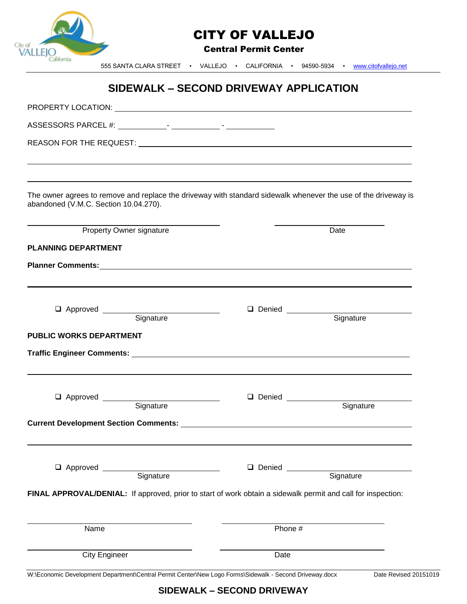| City of<br>VALL                | <b>CITY OF VALLEJO</b><br><b>Central Permit Center</b> |                                        |                                                                                                                |  |
|--------------------------------|--------------------------------------------------------|----------------------------------------|----------------------------------------------------------------------------------------------------------------|--|
| alifornia                      |                                                        |                                        | 555 SANTA CLARA STREET • VALLEJO • CALIFORNIA • 94590-5934 • www.citofvallejo.net                              |  |
|                                |                                                        | SIDEWALK - SECOND DRIVEWAY APPLICATION |                                                                                                                |  |
|                                |                                                        |                                        |                                                                                                                |  |
|                                |                                                        |                                        |                                                                                                                |  |
|                                |                                                        |                                        |                                                                                                                |  |
|                                | abandoned (V.M.C. Section 10.04.270).                  |                                        | The owner agrees to remove and replace the driveway with standard sidewalk whenever the use of the driveway is |  |
|                                | <b>Property Owner signature</b>                        |                                        | Date                                                                                                           |  |
| <b>PLANNING DEPARTMENT</b>     |                                                        |                                        |                                                                                                                |  |
|                                |                                                        |                                        |                                                                                                                |  |
| <b>PUBLIC WORKS DEPARTMENT</b> | Approved Signature                                     |                                        | Denied Signature                                                                                               |  |
|                                | Approved Signature                                     |                                        | Denied Signature                                                                                               |  |
|                                |                                                        |                                        |                                                                                                                |  |
|                                | Approved Signature                                     |                                        | Denied Signature                                                                                               |  |
|                                |                                                        |                                        | FINAL APPROVAL/DENIAL: If approved, prior to start of work obtain a sidewalk permit and call for inspection:   |  |
| Name                           |                                                        |                                        | Phone #                                                                                                        |  |
|                                |                                                        |                                        |                                                                                                                |  |

**SIDEWALK – SECOND DRIVEWAY**